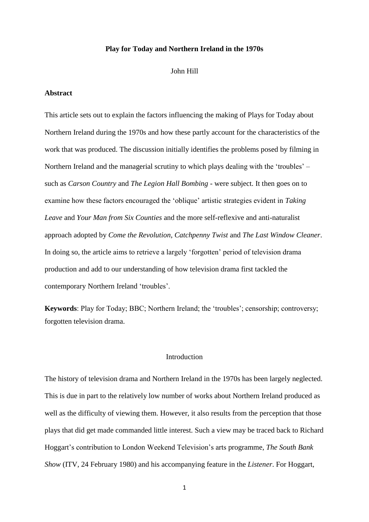#### **Play for Today and Northern Ireland in the 1970s**

#### John Hill

# **Abstract**

This article sets out to explain the factors influencing the making of Plays for Today about Northern Ireland during the 1970s and how these partly account for the characteristics of the work that was produced. The discussion initially identifies the problems posed by filming in Northern Ireland and the managerial scrutiny to which plays dealing with the 'troubles' – such as *Carson Country* and *The Legion Hall Bombing* - were subject. It then goes on to examine how these factors encouraged the 'oblique' artistic strategies evident in *Taking Leave* and *Your Man from Six Counties* and the more self-reflexive and anti-naturalist approach adopted by *Come the Revolution*, *Catchpenny Twist* and *The Last Window Cleaner*. In doing so, the article aims to retrieve a largely 'forgotten' period of television drama production and add to our understanding of how television drama first tackled the contemporary Northern Ireland 'troubles'.

**Keywords**: Play for Today; BBC; Northern Ireland; the 'troubles'; censorship; controversy; forgotten television drama.

## Introduction

The history of television drama and Northern Ireland in the 1970s has been largely neglected. This is due in part to the relatively low number of works about Northern Ireland produced as well as the difficulty of viewing them. However, it also results from the perception that those plays that did get made commanded little interest. Such a view may be traced back to Richard Hoggart's contribution to London Weekend Television's arts programme, *The South Bank Show* (ITV, 24 February 1980) and his accompanying feature in the *Listener*. For Hoggart,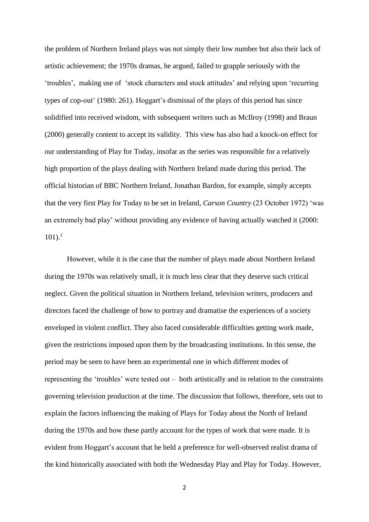the problem of Northern Ireland plays was not simply their low number but also their lack of artistic achievement; the 1970s dramas, he argued, failed to grapple seriously with the 'troubles', making use of 'stock characters and stock attitudes' and relying upon 'recurring types of cop-out' (1980: 261). Hoggart's dismissal of the plays of this period has since solidified into received wisdom, with subsequent writers such as McIlroy (1998) and Braun (2000) generally content to accept its validity. This view has also had a knock-on effect for our understanding of Play for Today, insofar as the series was responsible for a relatively high proportion of the plays dealing with Northern Ireland made during this period. The official historian of BBC Northern Ireland, Jonathan Bardon, for example, simply accepts that the very first Play for Today to be set in Ireland, *Carson Country* (23 October 1972) 'was an extremely bad play' without providing any evidence of having actually watched it (2000:  $101$ ).<sup>1</sup>

However, while it is the case that the number of plays made about Northern Ireland during the 1970s was relatively small, it is much less clear that they deserve such critical neglect. Given the political situation in Northern Ireland, television writers, producers and directors faced the challenge of how to portray and dramatise the experiences of a society enveloped in violent conflict. They also faced considerable difficulties getting work made, given the restrictions imposed upon them by the broadcasting institutions. In this sense, the period may be seen to have been an experimental one in which different modes of representing the 'troubles' were tested out – both artistically and in relation to the constraints governing television production at the time. The discussion that follows, therefore, sets out to explain the factors influencing the making of Plays for Today about the North of Ireland during the 1970s and how these partly account for the types of work that were made. It is evident from Hoggart's account that he held a preference for well-observed realist drama of the kind historically associated with both the Wednesday Play and Play for Today. However,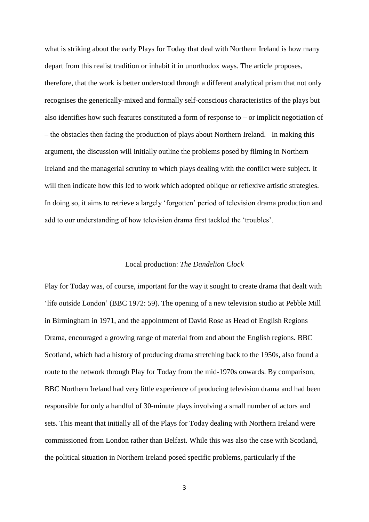what is striking about the early Plays for Today that deal with Northern Ireland is how many depart from this realist tradition or inhabit it in unorthodox ways. The article proposes, therefore, that the work is better understood through a different analytical prism that not only recognises the generically-mixed and formally self-conscious characteristics of the plays but also identifies how such features constituted a form of response to  $-$  or implicit negotiation of – the obstacles then facing the production of plays about Northern Ireland. In making this argument, the discussion will initially outline the problems posed by filming in Northern Ireland and the managerial scrutiny to which plays dealing with the conflict were subject. It will then indicate how this led to work which adopted oblique or reflexive artistic strategies. In doing so, it aims to retrieve a largely 'forgotten' period of television drama production and add to our understanding of how television drama first tackled the 'troubles'.

# Local production: *The Dandelion Clock*

Play for Today was, of course, important for the way it sought to create drama that dealt with 'life outside London' (BBC 1972: 59). The opening of a new television studio at Pebble Mill in Birmingham in 1971, and the appointment of David Rose as Head of English Regions Drama, encouraged a growing range of material from and about the English regions. BBC Scotland, which had a history of producing drama stretching back to the 1950s, also found a route to the network through Play for Today from the mid-1970s onwards. By comparison, BBC Northern Ireland had very little experience of producing television drama and had been responsible for only a handful of 30-minute plays involving a small number of actors and sets. This meant that initially all of the Plays for Today dealing with Northern Ireland were commissioned from London rather than Belfast. While this was also the case with Scotland, the political situation in Northern Ireland posed specific problems, particularly if the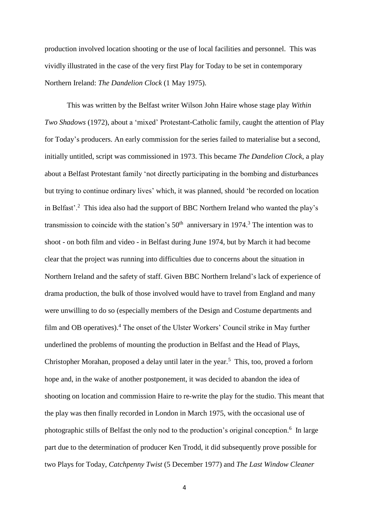production involved location shooting or the use of local facilities and personnel. This was vividly illustrated in the case of the very first Play for Today to be set in contemporary Northern Ireland: *The Dandelion Clock* (1 May 1975).

This was written by the Belfast writer Wilson John Haire whose stage play *Within Two Shadows* (1972), about a 'mixed' Protestant-Catholic family, caught the attention of Play for Today's producers. An early commission for the series failed to materialise but a second, initially untitled, script was commissioned in 1973. This became *The Dandelion Clock*, a play about a Belfast Protestant family 'not directly participating in the bombing and disturbances but trying to continue ordinary lives' which, it was planned, should 'be recorded on location in Belfast'.<sup>2</sup> This idea also had the support of BBC Northern Ireland who wanted the play's transmission to coincide with the station's  $50<sup>th</sup>$  anniversary in 1974.<sup>3</sup> The intention was to shoot - on both film and video - in Belfast during June 1974, but by March it had become clear that the project was running into difficulties due to concerns about the situation in Northern Ireland and the safety of staff. Given BBC Northern Ireland's lack of experience of drama production, the bulk of those involved would have to travel from England and many were unwilling to do so (especially members of the Design and Costume departments and film and OB operatives).<sup>4</sup> The onset of the Ulster Workers' Council strike in May further underlined the problems of mounting the production in Belfast and the Head of Plays, Christopher Morahan, proposed a delay until later in the year.<sup>5</sup> This, too, proved a forlorn hope and, in the wake of another postponement, it was decided to abandon the idea of shooting on location and commission Haire to re-write the play for the studio. This meant that the play was then finally recorded in London in March 1975, with the occasional use of photographic stills of Belfast the only nod to the production's original conception.<sup>6</sup> In large part due to the determination of producer Ken Trodd, it did subsequently prove possible for two Plays for Today, *Catchpenny Twist* (5 December 1977) and *The Last Window Cleaner*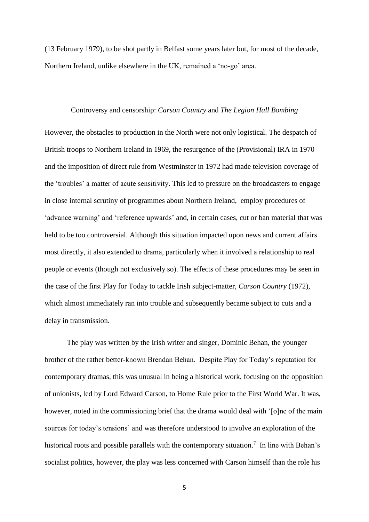(13 February 1979), to be shot partly in Belfast some years later but, for most of the decade, Northern Ireland, unlike elsewhere in the UK, remained a 'no-go' area.

### Controversy and censorship: *Carson Country* and *The Legion Hall Bombing*

However, the obstacles to production in the North were not only logistical. The despatch of British troops to Northern Ireland in 1969, the resurgence of the (Provisional) IRA in 1970 and the imposition of direct rule from Westminster in 1972 had made television coverage of the 'troubles' a matter of acute sensitivity. This led to pressure on the broadcasters to engage in close internal scrutiny of programmes about Northern Ireland, employ procedures of 'advance warning' and 'reference upwards' and, in certain cases, cut or ban material that was held to be too controversial. Although this situation impacted upon news and current affairs most directly, it also extended to drama, particularly when it involved a relationship to real people or events (though not exclusively so). The effects of these procedures may be seen in the case of the first Play for Today to tackle Irish subject-matter, *Carson Country* (1972), which almost immediately ran into trouble and subsequently became subject to cuts and a delay in transmission.

The play was written by the Irish writer and singer, Dominic Behan, the younger brother of the rather better-known Brendan Behan. Despite Play for Today's reputation for contemporary dramas, this was unusual in being a historical work, focusing on the opposition of unionists, led by Lord Edward Carson, to Home Rule prior to the First World War. It was, however, noted in the commissioning brief that the drama would deal with '[o]ne of the main sources for today's tensions' and was therefore understood to involve an exploration of the historical roots and possible parallels with the contemporary situation.<sup>7</sup> In line with Behan's socialist politics, however, the play was less concerned with Carson himself than the role his

<sup>5</sup>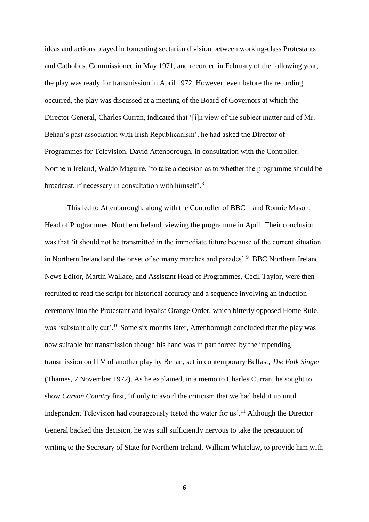ideas and actions played in fomenting sectarian division between working-class Protestants and Catholics. Commissioned in May 1971, and recorded in February of the following year, the play was ready for transmission in April 1972. However, even before the recording occurred, the play was discussed at a meeting of the Board of Governors at which the Director General, Charles Curran, indicated that '[i]n view of the subject matter and of Mr. Behan's past association with Irish Republicanism', he had asked the Director of Programmes for Television, David Attenborough, in consultation with the Controller, Northern Ireland, Waldo Maguire, 'to take a decision as to whether the programme should be broadcast, if necessary in consultation with himself'.<sup>8</sup>

This led to Attenborough, along with the Controller of BBC 1 and Ronnie Mason, Head of Programmes, Northern Ireland, viewing the programme in April. Their conclusion was that 'it should not be transmitted in the immediate future because of the current situation in Northern Ireland and the onset of so many marches and parades'.<sup>9</sup> BBC Northern Ireland News Editor, Martin Wallace, and Assistant Head of Programmes, Cecil Taylor, were then recruited to read the script for historical accuracy and a sequence involving an induction ceremony into the Protestant and loyalist Orange Order, which bitterly opposed Home Rule, was 'substantially cut'.<sup>10</sup> Some six months later, Attenborough concluded that the play was now suitable for transmission though his hand was in part forced by the impending transmission on ITV of another play by Behan, set in contemporary Belfast, *The Folk Singer* (Thames, 7 November 1972). As he explained, in a memo to Charles Curran, he sought to show *Carson Country* first, 'if only to avoid the criticism that we had held it up until Independent Television had courageously tested the water for us'.<sup>11</sup> Although the Director General backed this decision, he was still sufficiently nervous to take the precaution of writing to the Secretary of State for Northern Ireland, William Whitelaw, to provide him with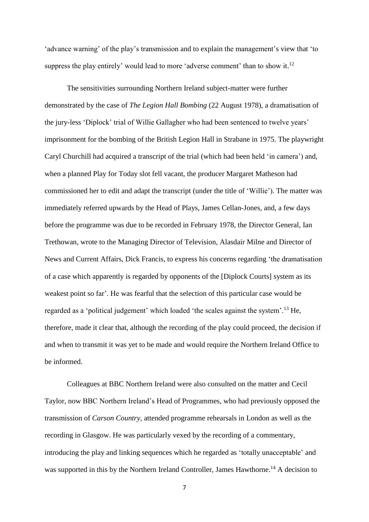'advance warning' of the play's transmission and to explain the management's view that 'to suppress the play entirely' would lead to more 'adverse comment' than to show it.<sup>12</sup>

The sensitivities surrounding Northern Ireland subject-matter were further demonstrated by the case of *The Legion Hall Bombing* (22 August 1978), a dramatisation of the jury-less 'Diplock' trial of Willie Gallagher who had been sentenced to twelve years' imprisonment for the bombing of the British Legion Hall in Strabane in 1975. The playwright Caryl Churchill had acquired a transcript of the trial (which had been held 'in camera') and, when a planned Play for Today slot fell vacant, the producer Margaret Matheson had commissioned her to edit and adapt the transcript (under the title of 'Willie'). The matter was immediately referred upwards by the Head of Plays, James Cellan-Jones, and, a few days before the programme was due to be recorded in February 1978, the Director General, Ian Trethowan, wrote to the Managing Director of Television, Alasdair Milne and Director of News and Current Affairs, Dick Francis, to express his concerns regarding 'the dramatisation of a case which apparently is regarded by opponents of the [Diplock Courts] system as its weakest point so far'. He was fearful that the selection of this particular case would be regarded as a 'political judgement' which loaded 'the scales against the system'.<sup>13</sup> He, therefore, made it clear that, although the recording of the play could proceed, the decision if and when to transmit it was yet to be made and would require the Northern Ireland Office to be informed.

Colleagues at BBC Northern Ireland were also consulted on the matter and Cecil Taylor, now BBC Northern Ireland's Head of Programmes, who had previously opposed the transmission of *Carson Country*, attended programme rehearsals in London as well as the recording in Glasgow. He was particularly vexed by the recording of a commentary, introducing the play and linking sequences which he regarded as 'totally unacceptable' and was supported in this by the Northern Ireland Controller, James Hawthorne.<sup>14</sup> A decision to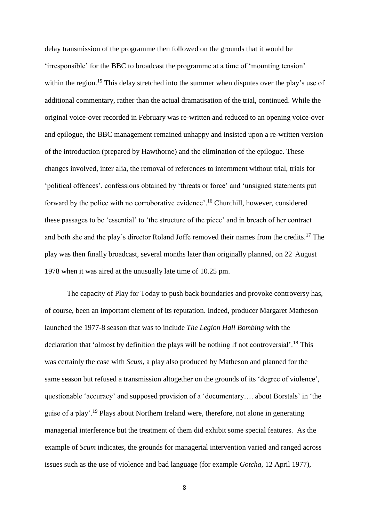delay transmission of the programme then followed on the grounds that it would be 'irresponsible' for the BBC to broadcast the programme at a time of 'mounting tension' within the region.<sup>15</sup> This delay stretched into the summer when disputes over the play's use of additional commentary, rather than the actual dramatisation of the trial, continued. While the original voice-over recorded in February was re-written and reduced to an opening voice-over and epilogue, the BBC management remained unhappy and insisted upon a re-written version of the introduction (prepared by Hawthorne) and the elimination of the epilogue. These changes involved, inter alia, the removal of references to internment without trial, trials for 'political offences', confessions obtained by 'threats or force' and 'unsigned statements put forward by the police with no corroborative evidence'. <sup>16</sup> Churchill, however, considered these passages to be 'essential' to 'the structure of the piece' and in breach of her contract and both she and the play's director Roland Joffe removed their names from the credits.<sup>17</sup> The play was then finally broadcast, several months later than originally planned, on 22 August 1978 when it was aired at the unusually late time of 10.25 pm.

The capacity of Play for Today to push back boundaries and provoke controversy has, of course, been an important element of its reputation. Indeed, producer Margaret Matheson launched the 1977-8 season that was to include *The Legion Hall Bombing* with the declaration that 'almost by definition the plays will be nothing if not controversial'.<sup>18</sup> This was certainly the case with *Scum*, a play also produced by Matheson and planned for the same season but refused a transmission altogether on the grounds of its 'degree of violence', questionable 'accuracy' and supposed provision of a 'documentary…. about Borstals' in 'the guise of a play'. <sup>19</sup> Plays about Northern Ireland were, therefore, not alone in generating managerial interference but the treatment of them did exhibit some special features. As the example of *Scum* indicates, the grounds for managerial intervention varied and ranged across issues such as the use of violence and bad language (for example *Gotcha,* 12 April 1977),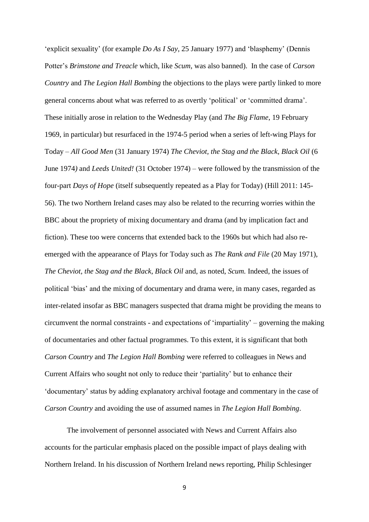'explicit sexuality' (for example *Do As I Say*, 25 January 1977) and 'blasphemy' (Dennis Potter's *Brimstone and Treacle* which, like *Scum*, was also banned). In the case of *Carson Country* and *The Legion Hall Bombing* the objections to the plays were partly linked to more general concerns about what was referred to as overtly 'political' or 'committed drama'. These initially arose in relation to the Wednesday Play (and *The Big Flame*, 19 February 1969, in particular) but resurfaced in the 1974-5 period when a series of left-wing Plays for Today – *All Good Men* (31 January 1974) *The Cheviot, the Stag and the Black, Black Oil* (6 June 1974*)* and *Leeds United!* (31 October 1974) – were followed by the transmission of the four-part *Days of Hope* (itself subsequently repeated as a Play for Today) (Hill 2011: 145- 56). The two Northern Ireland cases may also be related to the recurring worries within the BBC about the propriety of mixing documentary and drama (and by implication fact and fiction). These too were concerns that extended back to the 1960s but which had also reemerged with the appearance of Plays for Today such as *The Rank and File* (20 May 1971), *The Cheviot, the Stag and the Black, Black Oil* and, as noted, *Scum.* Indeed, the issues of political 'bias' and the mixing of documentary and drama were, in many cases, regarded as inter-related insofar as BBC managers suspected that drama might be providing the means to circumvent the normal constraints - and expectations of 'impartiality' – governing the making of documentaries and other factual programmes. To this extent, it is significant that both *Carson Country* and *The Legion Hall Bombing* were referred to colleagues in News and Current Affairs who sought not only to reduce their 'partiality' but to enhance their 'documentary' status by adding explanatory archival footage and commentary in the case of *Carson Country* and avoiding the use of assumed names in *The Legion Hall Bombing*.

The involvement of personnel associated with News and Current Affairs also accounts for the particular emphasis placed on the possible impact of plays dealing with Northern Ireland. In his discussion of Northern Ireland news reporting, Philip Schlesinger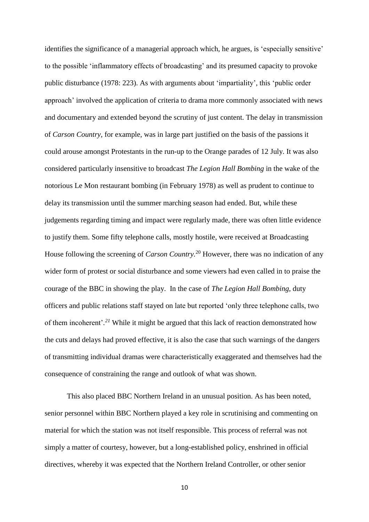identifies the significance of a managerial approach which, he argues, is 'especially sensitive' to the possible 'inflammatory effects of broadcasting' and its presumed capacity to provoke public disturbance (1978: 223). As with arguments about 'impartiality', this 'public order approach' involved the application of criteria to drama more commonly associated with news and documentary and extended beyond the scrutiny of just content. The delay in transmission of *Carson Country*, for example, was in large part justified on the basis of the passions it could arouse amongst Protestants in the run-up to the Orange parades of 12 July. It was also considered particularly insensitive to broadcast *The Legion Hall Bombing* in the wake of the notorious Le Mon restaurant bombing (in February 1978) as well as prudent to continue to delay its transmission until the summer marching season had ended. But, while these judgements regarding timing and impact were regularly made, there was often little evidence to justify them. Some fifty telephone calls, mostly hostile, were received at Broadcasting House following the screening of *Carson Country.*<sup>20</sup> However, there was no indication of any wider form of protest or social disturbance and some viewers had even called in to praise the courage of the BBC in showing the play. In the case of *The Legion Hall Bombing,* duty officers and public relations staff stayed on late but reported 'only three telephone calls, two of them incoherent'*. <sup>21</sup>* While it might be argued that this lack of reaction demonstrated how the cuts and delays had proved effective, it is also the case that such warnings of the dangers of transmitting individual dramas were characteristically exaggerated and themselves had the consequence of constraining the range and outlook of what was shown.

This also placed BBC Northern Ireland in an unusual position. As has been noted, senior personnel within BBC Northern played a key role in scrutinising and commenting on material for which the station was not itself responsible. This process of referral was not simply a matter of courtesy, however, but a long-established policy, enshrined in official directives, whereby it was expected that the Northern Ireland Controller, or other senior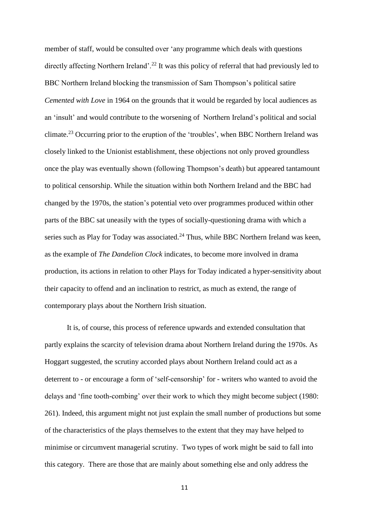member of staff, would be consulted over 'any programme which deals with questions directly affecting Northern Ireland'.<sup>22</sup> It was this policy of referral that had previously led to BBC Northern Ireland blocking the transmission of Sam Thompson's political satire *Cemented with Love* in 1964 on the grounds that it would be regarded by local audiences as an 'insult' and would contribute to the worsening of Northern Ireland's political and social climate.<sup>23</sup> Occurring prior to the eruption of the 'troubles', when BBC Northern Ireland was closely linked to the Unionist establishment, these objections not only proved groundless once the play was eventually shown (following Thompson's death) but appeared tantamount to political censorship. While the situation within both Northern Ireland and the BBC had changed by the 1970s, the station's potential veto over programmes produced within other parts of the BBC sat uneasily with the types of socially-questioning drama with which a series such as Play for Today was associated.<sup>24</sup> Thus, while BBC Northern Ireland was keen, as the example of *The Dandelion Clock* indicates, to become more involved in drama production, its actions in relation to other Plays for Today indicated a hyper-sensitivity about their capacity to offend and an inclination to restrict, as much as extend, the range of contemporary plays about the Northern Irish situation.

It is, of course, this process of reference upwards and extended consultation that partly explains the scarcity of television drama about Northern Ireland during the 1970s. As Hoggart suggested, the scrutiny accorded plays about Northern Ireland could act as a deterrent to - or encourage a form of 'self-censorship' for - writers who wanted to avoid the delays and 'fine tooth-combing' over their work to which they might become subject (1980: 261). Indeed, this argument might not just explain the small number of productions but some of the characteristics of the plays themselves to the extent that they may have helped to minimise or circumvent managerial scrutiny. Two types of work might be said to fall into this category. There are those that are mainly about something else and only address the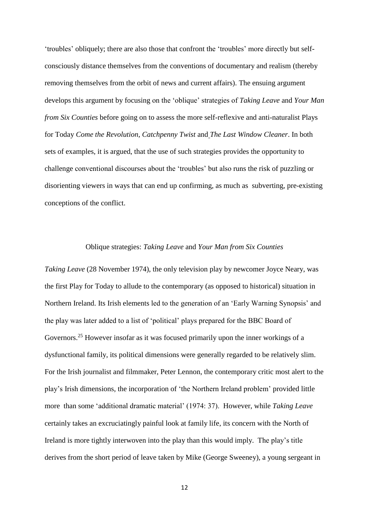'troubles' obliquely; there are also those that confront the 'troubles' more directly but selfconsciously distance themselves from the conventions of documentary and realism (thereby removing themselves from the orbit of news and current affairs). The ensuing argument develops this argument by focusing on the 'oblique' strategies of *Taking Leave* and *Your Man from Six Counties* before going on to assess the more self-reflexive and anti-naturalist Plays for Today *Come the Revolution*, *Catchpenny Twist* and *The Last Window Cleaner*. In both sets of examples, it is argued, that the use of such strategies provides the opportunity to challenge conventional discourses about the 'troubles' but also runs the risk of puzzling or disorienting viewers in ways that can end up confirming, as much as subverting, pre-existing conceptions of the conflict.

#### Oblique strategies: *Taking Leave* and *Your Man from Six Counties*

*Taking Leave* (28 November 1974), the only television play by newcomer Joyce Neary, was the first Play for Today to allude to the contemporary (as opposed to historical) situation in Northern Ireland. Its Irish elements led to the generation of an 'Early Warning Synopsis' and the play was later added to a list of 'political' plays prepared for the BBC Board of Governors.<sup>25</sup> However insofar as it was focused primarily upon the inner workings of a dysfunctional family, its political dimensions were generally regarded to be relatively slim. For the Irish journalist and filmmaker, Peter Lennon, the contemporary critic most alert to the play's Irish dimensions, the incorporation of 'the Northern Ireland problem' provided little more than some 'additional dramatic material' (1974: 37). However, while *Taking Leave* certainly takes an excruciatingly painful look at family life, its concern with the North of Ireland is more tightly interwoven into the play than this would imply. The play's title derives from the short period of leave taken by Mike (George Sweeney), a young sergeant in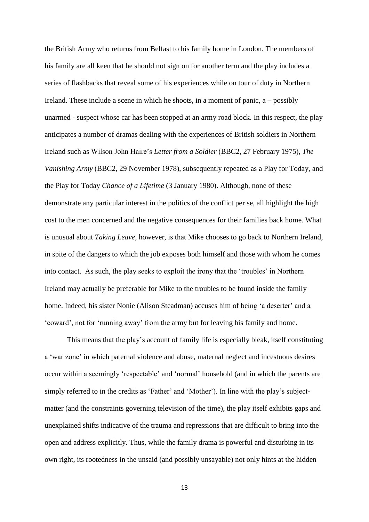the British Army who returns from Belfast to his family home in London. The members of his family are all keen that he should not sign on for another term and the play includes a series of flashbacks that reveal some of his experiences while on tour of duty in Northern Ireland. These include a scene in which he shoots, in a moment of panic, a – possibly unarmed - suspect whose car has been stopped at an army road block. In this respect, the play anticipates a number of dramas dealing with the experiences of British soldiers in Northern Ireland such as Wilson John Haire's *Letter from a Soldier* (BBC2, 27 February 1975), *The Vanishing Army* (BBC2, 29 November 1978), subsequently repeated as a Play for Today, and the Play for Today *Chance of a Lifetime* (3 January 1980). Although, none of these demonstrate any particular interest in the politics of the conflict per se, all highlight the high cost to the men concerned and the negative consequences for their families back home. What is unusual about *Taking Leave*, however, is that Mike chooses to go back to Northern Ireland, in spite of the dangers to which the job exposes both himself and those with whom he comes into contact. As such, the play seeks to exploit the irony that the 'troubles' in Northern Ireland may actually be preferable for Mike to the troubles to be found inside the family home. Indeed, his sister Nonie (Alison Steadman) accuses him of being 'a deserter' and a 'coward', not for 'running away' from the army but for leaving his family and home.

This means that the play's account of family life is especially bleak, itself constituting a 'war zone' in which paternal violence and abuse, maternal neglect and incestuous desires occur within a seemingly 'respectable' and 'normal' household (and in which the parents are simply referred to in the credits as 'Father' and 'Mother'). In line with the play's subjectmatter (and the constraints governing television of the time), the play itself exhibits gaps and unexplained shifts indicative of the trauma and repressions that are difficult to bring into the open and address explicitly. Thus, while the family drama is powerful and disturbing in its own right, its rootedness in the unsaid (and possibly unsayable) not only hints at the hidden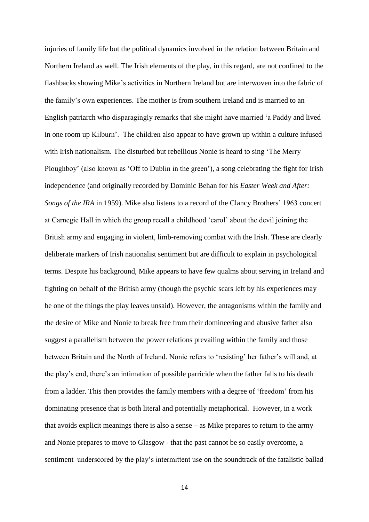injuries of family life but the political dynamics involved in the relation between Britain and Northern Ireland as well. The Irish elements of the play, in this regard, are not confined to the flashbacks showing Mike's activities in Northern Ireland but are interwoven into the fabric of the family's own experiences. The mother is from southern Ireland and is married to an English patriarch who disparagingly remarks that she might have married 'a Paddy and lived in one room up Kilburn'. The children also appear to have grown up within a culture infused with Irish nationalism. The disturbed but rebellious Nonie is heard to sing 'The Merry Ploughboy' (also known as 'Off to Dublin in the green'), a song celebrating the fight for Irish independence (and originally recorded by Dominic Behan for his *Easter Week and After: Songs of the IRA* in 1959). Mike also listens to a record of the Clancy Brothers' 1963 concert at Carnegie Hall in which the group recall a childhood 'carol' about the devil joining the British army and engaging in violent, limb-removing combat with the Irish. These are clearly deliberate markers of Irish nationalist sentiment but are difficult to explain in psychological terms. Despite his background, Mike appears to have few qualms about serving in Ireland and fighting on behalf of the British army (though the psychic scars left by his experiences may be one of the things the play leaves unsaid). However, the antagonisms within the family and the desire of Mike and Nonie to break free from their domineering and abusive father also suggest a parallelism between the power relations prevailing within the family and those between Britain and the North of Ireland. Nonie refers to 'resisting' her father's will and, at the play's end, there's an intimation of possible parricide when the father falls to his death from a ladder. This then provides the family members with a degree of 'freedom' from his dominating presence that is both literal and potentially metaphorical. However, in a work that avoids explicit meanings there is also a sense – as Mike prepares to return to the army and Nonie prepares to move to Glasgow - that the past cannot be so easily overcome, a sentiment underscored by the play's intermittent use on the soundtrack of the fatalistic ballad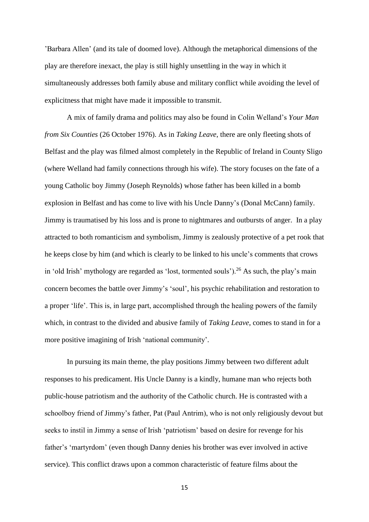'Barbara Allen' (and its tale of doomed love). Although the metaphorical dimensions of the play are therefore inexact, the play is still highly unsettling in the way in which it simultaneously addresses both family abuse and military conflict while avoiding the level of explicitness that might have made it impossible to transmit.

A mix of family drama and politics may also be found in Colin Welland's *Your Man from Six Counties* (26 October 1976). As in *Taking Leave*, there are only fleeting shots of Belfast and the play was filmed almost completely in the Republic of Ireland in County Sligo (where Welland had family connections through his wife). The story focuses on the fate of a young Catholic boy Jimmy (Joseph Reynolds) whose father has been killed in a bomb explosion in Belfast and has come to live with his Uncle Danny's (Donal McCann) family. Jimmy is traumatised by his loss and is prone to nightmares and outbursts of anger. In a play attracted to both romanticism and symbolism, Jimmy is zealously protective of a pet rook that he keeps close by him (and which is clearly to be linked to his uncle's comments that crows in 'old Irish' mythology are regarded as 'lost, tormented souls').<sup>26</sup> As such, the play's main concern becomes the battle over Jimmy's 'soul', his psychic rehabilitation and restoration to a proper 'life'. This is, in large part, accomplished through the healing powers of the family which, in contrast to the divided and abusive family of *Taking Leave*, comes to stand in for a more positive imagining of Irish 'national community'.

In pursuing its main theme, the play positions Jimmy between two different adult responses to his predicament. His Uncle Danny is a kindly, humane man who rejects both public-house patriotism and the authority of the Catholic church. He is contrasted with a schoolboy friend of Jimmy's father, Pat (Paul Antrim), who is not only religiously devout but seeks to instil in Jimmy a sense of Irish 'patriotism' based on desire for revenge for his father's 'martyrdom' (even though Danny denies his brother was ever involved in active service). This conflict draws upon a common characteristic of feature films about the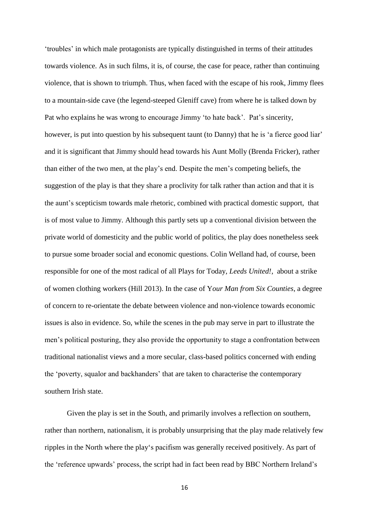'troubles' in which male protagonists are typically distinguished in terms of their attitudes towards violence. As in such films, it is, of course, the case for peace, rather than continuing violence, that is shown to triumph. Thus, when faced with the escape of his rook, Jimmy flees to a mountain-side cave (the legend-steeped Gleniff cave) from where he is talked down by Pat who explains he was wrong to encourage Jimmy 'to hate back'. Pat's sincerity, however, is put into question by his subsequent taunt (to Danny) that he is 'a fierce good liar' and it is significant that Jimmy should head towards his Aunt Molly (Brenda Fricker), rather than either of the two men, at the play's end. Despite the men's competing beliefs, the suggestion of the play is that they share a proclivity for talk rather than action and that it is the aunt's scepticism towards male rhetoric, combined with practical domestic support, that is of most value to Jimmy. Although this partly sets up a conventional division between the private world of domesticity and the public world of politics, the play does nonetheless seek to pursue some broader social and economic questions. Colin Welland had, of course, been responsible for one of the most radical of all Plays for Today, *Leeds United!*, about a strike of women clothing workers (Hill 2013). In the case of Y*our Man from Six Counties*, a degree of concern to re-orientate the debate between violence and non-violence towards economic issues is also in evidence. So, while the scenes in the pub may serve in part to illustrate the men's political posturing, they also provide the opportunity to stage a confrontation between traditional nationalist views and a more secular, class-based politics concerned with ending the 'poverty, squalor and backhanders' that are taken to characterise the contemporary southern Irish state.

Given the play is set in the South, and primarily involves a reflection on southern, rather than northern, nationalism, it is probably unsurprising that the play made relatively few ripples in the North where the play's pacifism was generally received positively. As part of the 'reference upwards' process, the script had in fact been read by BBC Northern Ireland's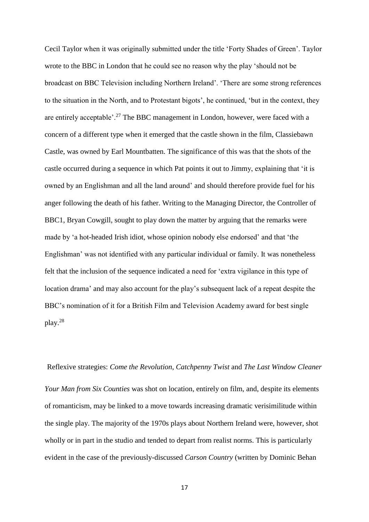Cecil Taylor when it was originally submitted under the title 'Forty Shades of Green'. Taylor wrote to the BBC in London that he could see no reason why the play 'should not be broadcast on BBC Television including Northern Ireland'. 'There are some strong references to the situation in the North, and to Protestant bigots', he continued, 'but in the context, they are entirely acceptable'.<sup>27</sup> The BBC management in London, however, were faced with a concern of a different type when it emerged that the castle shown in the film, Classiebawn Castle, was owned by Earl Mountbatten. The significance of this was that the shots of the castle occurred during a sequence in which Pat points it out to Jimmy, explaining that 'it is owned by an Englishman and all the land around' and should therefore provide fuel for his anger following the death of his father. Writing to the Managing Director, the Controller of BBC1, Bryan Cowgill, sought to play down the matter by arguing that the remarks were made by 'a hot-headed Irish idiot, whose opinion nobody else endorsed' and that 'the Englishman' was not identified with any particular individual or family. It was nonetheless felt that the inclusion of the sequence indicated a need for 'extra vigilance in this type of location drama' and may also account for the play's subsequent lack of a repeat despite the BBC's nomination of it for a British Film and Television Academy award for best single play. 28

Reflexive strategies: *Come the Revolution*, *Catchpenny Twist* and *The Last Window Cleaner Your Man from Six Counties* was shot on location, entirely on film, and, despite its elements of romanticism, may be linked to a move towards increasing dramatic verisimilitude within the single play. The majority of the 1970s plays about Northern Ireland were, however, shot wholly or in part in the studio and tended to depart from realist norms. This is particularly evident in the case of the previously-discussed *Carson Country* (written by Dominic Behan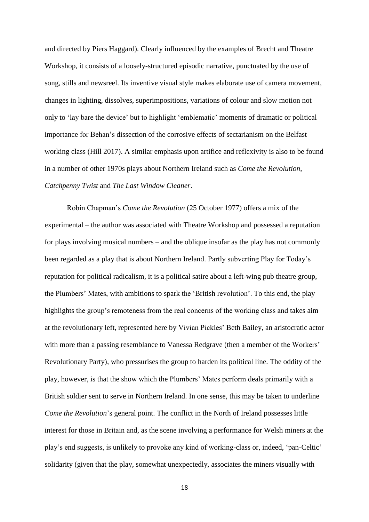and directed by Piers Haggard). Clearly influenced by the examples of Brecht and Theatre Workshop, it consists of a loosely-structured episodic narrative, punctuated by the use of song, stills and newsreel. Its inventive visual style makes elaborate use of camera movement, changes in lighting, dissolves, superimpositions, variations of colour and slow motion not only to 'lay bare the device' but to highlight 'emblematic' moments of dramatic or political importance for Behan's dissection of the corrosive effects of sectarianism on the Belfast working class (Hill 2017). A similar emphasis upon artifice and reflexivity is also to be found in a number of other 1970s plays about Northern Ireland such as *Come the Revolution*, *Catchpenny Twist* and *The Last Window Cleaner*.

Robin Chapman's *Come the Revolution* (25 October 1977) offers a mix of the experimental – the author was associated with Theatre Workshop and possessed a reputation for plays involving musical numbers – and the oblique insofar as the play has not commonly been regarded as a play that is about Northern Ireland. Partly subverting Play for Today's reputation for political radicalism, it is a political satire about a left-wing pub theatre group, the Plumbers' Mates, with ambitions to spark the 'British revolution'. To this end, the play highlights the group's remoteness from the real concerns of the working class and takes aim at the revolutionary left, represented here by Vivian Pickles' Beth Bailey, an aristocratic actor with more than a passing resemblance to Vanessa Redgrave (then a member of the Workers' Revolutionary Party), who pressurises the group to harden its political line. The oddity of the play, however, is that the show which the Plumbers' Mates perform deals primarily with a British soldier sent to serve in Northern Ireland. In one sense, this may be taken to underline *Come the Revolution*'s general point. The conflict in the North of Ireland possesses little interest for those in Britain and, as the scene involving a performance for Welsh miners at the play's end suggests, is unlikely to provoke any kind of working-class or, indeed, 'pan-Celtic' solidarity (given that the play, somewhat unexpectedly, associates the miners visually with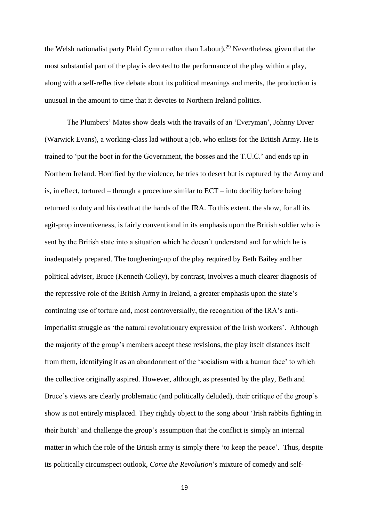the Welsh nationalist party Plaid Cymru rather than Labour). <sup>29</sup> Nevertheless, given that the most substantial part of the play is devoted to the performance of the play within a play, along with a self-reflective debate about its political meanings and merits, the production is unusual in the amount to time that it devotes to Northern Ireland politics.

The Plumbers' Mates show deals with the travails of an 'Everyman', Johnny Diver (Warwick Evans), a working-class lad without a job, who enlists for the British Army. He is trained to 'put the boot in for the Government, the bosses and the T.U.C.' and ends up in Northern Ireland. Horrified by the violence, he tries to desert but is captured by the Army and is, in effect, tortured – through a procedure similar to ECT – into docility before being returned to duty and his death at the hands of the IRA. To this extent, the show, for all its agit-prop inventiveness, is fairly conventional in its emphasis upon the British soldier who is sent by the British state into a situation which he doesn't understand and for which he is inadequately prepared. The toughening-up of the play required by Beth Bailey and her political adviser, Bruce (Kenneth Colley), by contrast, involves a much clearer diagnosis of the repressive role of the British Army in Ireland, a greater emphasis upon the state's continuing use of torture and, most controversially, the recognition of the IRA's antiimperialist struggle as 'the natural revolutionary expression of the Irish workers'. Although the majority of the group's members accept these revisions, the play itself distances itself from them, identifying it as an abandonment of the 'socialism with a human face' to which the collective originally aspired. However, although, as presented by the play, Beth and Bruce's views are clearly problematic (and politically deluded), their critique of the group's show is not entirely misplaced. They rightly object to the song about 'Irish rabbits fighting in their hutch' and challenge the group's assumption that the conflict is simply an internal matter in which the role of the British army is simply there 'to keep the peace'. Thus, despite its politically circumspect outlook, *Come the Revolution*'s mixture of comedy and self-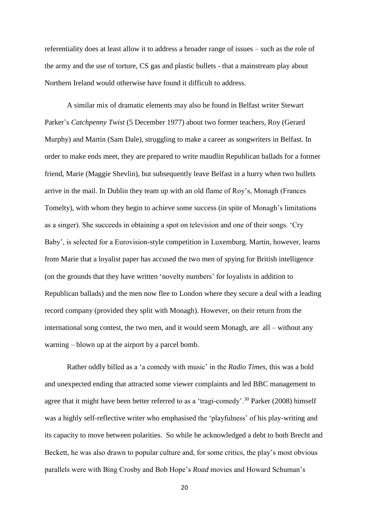referentiality does at least allow it to address a broader range of issues – such as the role of the army and the use of torture, CS gas and plastic bullets - that a mainstream play about Northern Ireland would otherwise have found it difficult to address.

A similar mix of dramatic elements may also be found in Belfast writer Stewart Parker's *Catchpenny Twist* (5 December 1977) about two former teachers, Roy (Gerard Murphy) and Martin (Sam Dale), struggling to make a career as songwriters in Belfast. In order to make ends meet, they are prepared to write maudlin Republican ballads for a former friend, Marie (Maggie Shevlin), but subsequently leave Belfast in a hurry when two bullets arrive in the mail. In Dublin they team up with an old flame of Roy's, Monagh (Frances Tomelty), with whom they begin to achieve some success (in spite of Monagh's limitations as a singer). She succeeds in obtaining a spot on television and one of their songs. 'Cry Baby', is selected for a Eurovision-style competition in Luxemburg. Martin, however, learns from Marie that a loyalist paper has accused the two men of spying for British intelligence (on the grounds that they have written 'novelty numbers' for loyalists in addition to Republican ballads) and the men now flee to London where they secure a deal with a leading record company (provided they split with Monagh). However, on their return from the international song contest, the two men, and it would seem Monagh, are all – without any warning – blown up at the airport by a parcel bomb.

Rather oddly billed as a 'a comedy with music' in the *Radio Times,* this was a bold and unexpected ending that attracted some viewer complaints and led BBC management to agree that it might have been better referred to as a 'tragi-comedy'.<sup>30</sup> Parker (2008) himself was a highly self-reflective writer who emphasised the 'playfulness' of his play-writing and its capacity to move between polarities. So while he acknowledged a debt to both Brecht and Beckett, he was also drawn to popular culture and, for some critics, the play's most obvious parallels were with Bing Crosby and Bob Hope's *Road* movies and Howard Schuman's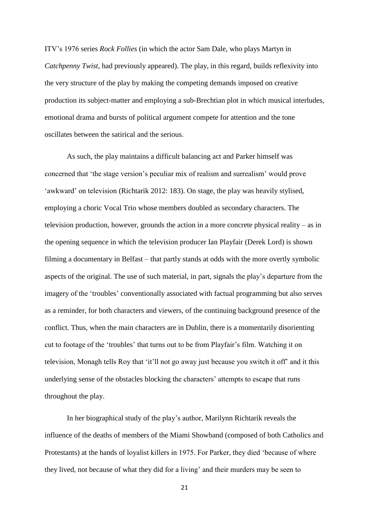ITV's 1976 series *Rock Follies* (in which the actor Sam Dale, who plays Martyn in *Catchpenny Twist*, had previously appeared). The play, in this regard, builds reflexivity into the very structure of the play by making the competing demands imposed on creative production its subject-matter and employing a sub-Brechtian plot in which musical interludes, emotional drama and bursts of political argument compete for attention and the tone oscillates between the satirical and the serious.

As such, the play maintains a difficult balancing act and Parker himself was concerned that 'the stage version's peculiar mix of realism and surrealism' would prove 'awkward' on television (Richtarik 2012: 183). On stage, the play was heavily stylised, employing a choric Vocal Trio whose members doubled as secondary characters. The television production, however, grounds the action in a more concrete physical reality – as in the opening sequence in which the television producer Ian Playfair (Derek Lord) is shown filming a documentary in Belfast – that partly stands at odds with the more overtly symbolic aspects of the original. The use of such material, in part, signals the play's departure from the imagery of the 'troubles' conventionally associated with factual programming but also serves as a reminder, for both characters and viewers, of the continuing background presence of the conflict. Thus, when the main characters are in Dublin, there is a momentarily disorienting cut to footage of the 'troubles' that turns out to be from Playfair's film. Watching it on television, Monagh tells Roy that 'it'll not go away just because you switch it off' and it this underlying sense of the obstacles blocking the characters' attempts to escape that runs throughout the play.

In her biographical study of the play's author, Marilynn Richtarik reveals the influence of the deaths of members of the Miami Showband (composed of both Catholics and Protestants) at the hands of loyalist killers in 1975. For Parker, they died 'because of where they lived, not because of what they did for a living' and their murders may be seen to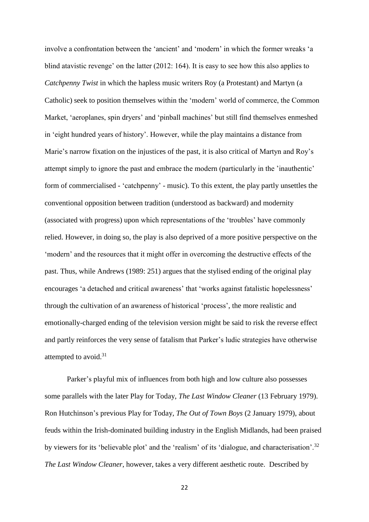involve a confrontation between the 'ancient' and 'modern' in which the former wreaks 'a blind atavistic revenge' on the latter (2012: 164). It is easy to see how this also applies to *Catchpenny Twist* in which the hapless music writers Roy (a Protestant) and Martyn (a Catholic) seek to position themselves within the 'modern' world of commerce, the Common Market, 'aeroplanes, spin dryers' and 'pinball machines' but still find themselves enmeshed in 'eight hundred years of history'. However, while the play maintains a distance from Marie's narrow fixation on the injustices of the past, it is also critical of Martyn and Roy's attempt simply to ignore the past and embrace the modern (particularly in the 'inauthentic' form of commercialised - 'catchpenny' - music). To this extent, the play partly unsettles the conventional opposition between tradition (understood as backward) and modernity (associated with progress) upon which representations of the 'troubles' have commonly relied. However, in doing so, the play is also deprived of a more positive perspective on the 'modern' and the resources that it might offer in overcoming the destructive effects of the past. Thus, while Andrews (1989: 251) argues that the stylised ending of the original play encourages 'a detached and critical awareness' that 'works against fatalistic hopelessness' through the cultivation of an awareness of historical 'process', the more realistic and emotionally-charged ending of the television version might be said to risk the reverse effect and partly reinforces the very sense of fatalism that Parker's ludic strategies have otherwise attempted to avoid.<sup>31</sup>

Parker's playful mix of influences from both high and low culture also possesses some parallels with the later Play for Today, *The Last Window Cleaner* (13 February 1979). Ron Hutchinson's previous Play for Today, *The Out of Town Boys* (2 January 1979), about feuds within the Irish-dominated building industry in the English Midlands, had been praised by viewers for its 'believable plot' and the 'realism' of its 'dialogue, and characterisation'.<sup>32</sup> *The Last Window Cleaner*, however, takes a very different aesthetic route. Described by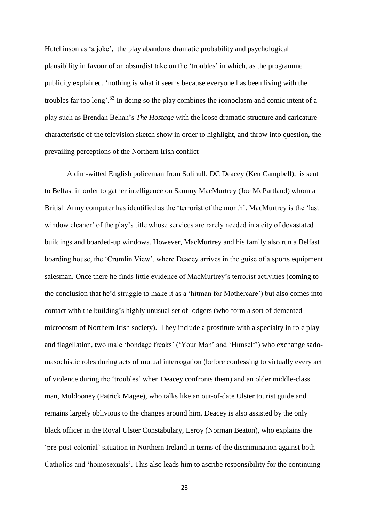Hutchinson as 'a joke', the play abandons dramatic probability and psychological plausibility in favour of an absurdist take on the 'troubles' in which, as the programme publicity explained, 'nothing is what it seems because everyone has been living with the troubles far too long'.<sup>33</sup> In doing so the play combines the iconoclasm and comic intent of a play such as Brendan Behan's *The Hostage* with the loose dramatic structure and caricature characteristic of the television sketch show in order to highlight, and throw into question, the prevailing perceptions of the Northern Irish conflict

A dim-witted English policeman from Solihull, DC Deacey (Ken Campbell), is sent to Belfast in order to gather intelligence on Sammy MacMurtrey (Joe McPartland) whom a British Army computer has identified as the 'terrorist of the month'. MacMurtrey is the 'last window cleaner' of the play's title whose services are rarely needed in a city of devastated buildings and boarded-up windows. However, MacMurtrey and his family also run a Belfast boarding house, the 'Crumlin View', where Deacey arrives in the guise of a sports equipment salesman. Once there he finds little evidence of MacMurtrey's terrorist activities (coming to the conclusion that he'd struggle to make it as a 'hitman for Mothercare') but also comes into contact with the building's highly unusual set of lodgers (who form a sort of demented microcosm of Northern Irish society). They include a prostitute with a specialty in role play and flagellation, two male 'bondage freaks' ('Your Man' and 'Himself') who exchange sadomasochistic roles during acts of mutual interrogation (before confessing to virtually every act of violence during the 'troubles' when Deacey confronts them) and an older middle-class man, Muldooney (Patrick Magee), who talks like an out-of-date Ulster tourist guide and remains largely oblivious to the changes around him. Deacey is also assisted by the only black officer in the Royal Ulster Constabulary, Leroy (Norman Beaton), who explains the 'pre-post-colonial' situation in Northern Ireland in terms of the discrimination against both Catholics and 'homosexuals'. This also leads him to ascribe responsibility for the continuing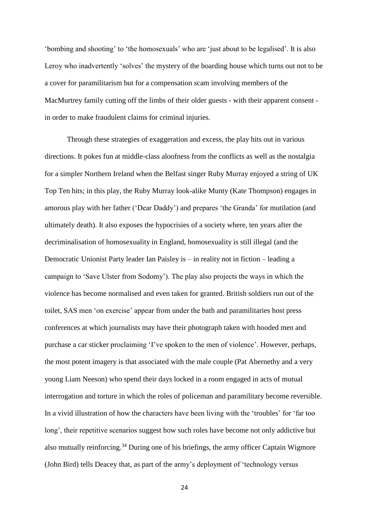'bombing and shooting' to 'the homosexuals' who are 'just about to be legalised'. It is also Leroy who inadvertently 'solves' the mystery of the boarding house which turns out not to be a cover for paramilitarism but for a compensation scam involving members of the MacMurtrey family cutting off the limbs of their older guests - with their apparent consent in order to make fraudulent claims for criminal injuries.

Through these strategies of exaggeration and excess, the play hits out in various directions. It pokes fun at middle-class aloofness from the conflicts as well as the nostalgia for a simpler Northern Ireland when the Belfast singer Ruby Murray enjoyed a string of UK Top Ten hits; in this play, the Ruby Murray look-alike Munty (Kate Thompson) engages in amorous play with her father ('Dear Daddy') and prepares 'the Granda' for mutilation (and ultimately death). It also exposes the hypocrisies of a society where, ten years after the decriminalisation of homosexuality in England, homosexuality is still illegal (and the Democratic Unionist Party leader Ian Paisley is – in reality not in fiction – leading a campaign to 'Save Ulster from Sodomy'). The play also projects the ways in which the violence has become normalised and even taken for granted. British soldiers run out of the toilet, SAS men 'on exercise' appear from under the bath and paramilitaries host press conferences at which journalists may have their photograph taken with hooded men and purchase a car sticker proclaiming 'I've spoken to the men of violence'. However, perhaps, the most potent imagery is that associated with the male couple (Pat Abernethy and a very young Liam Neeson) who spend their days locked in a room engaged in acts of mutual interrogation and torture in which the roles of policeman and paramilitary become reversible. In a vivid illustration of how the characters have been living with the 'troubles' for 'far too long', their repetitive scenarios suggest how such roles have become not only addictive but also mutually reinforcing.<sup>34</sup> During one of his briefings, the army officer Captain Wigmore (John Bird) tells Deacey that, as part of the army's deployment of 'technology versus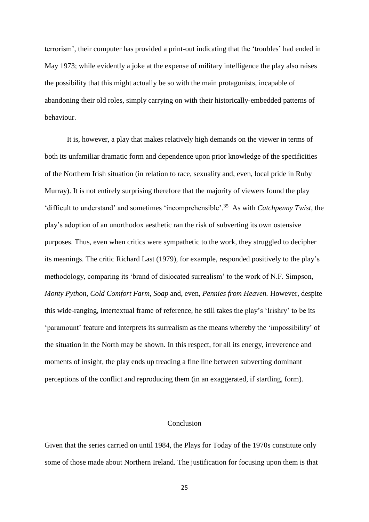terrorism', their computer has provided a print-out indicating that the 'troubles' had ended in May 1973; while evidently a joke at the expense of military intelligence the play also raises the possibility that this might actually be so with the main protagonists, incapable of abandoning their old roles, simply carrying on with their historically-embedded patterns of behaviour.

It is, however, a play that makes relatively high demands on the viewer in terms of both its unfamiliar dramatic form and dependence upon prior knowledge of the specificities of the Northern Irish situation (in relation to race, sexuality and, even, local pride in Ruby Murray). It is not entirely surprising therefore that the majority of viewers found the play 'difficult to understand' and sometimes 'incomprehensible'.<sup>35</sup> As with *Catchpenny Twist*, the play's adoption of an unorthodox aesthetic ran the risk of subverting its own ostensive purposes. Thus, even when critics were sympathetic to the work, they struggled to decipher its meanings. The critic Richard Last (1979), for example, responded positively to the play's methodology, comparing its 'brand of dislocated surrealism' to the work of N.F. Simpson, *Monty Python*, *Cold Comfort Farm*, *Soap* and, even, *Pennies from Heaven.* However, despite this wide-ranging, intertextual frame of reference, he still takes the play's 'Irishry' to be its 'paramount' feature and interprets its surrealism as the means whereby the 'impossibility' of the situation in the North may be shown. In this respect, for all its energy, irreverence and moments of insight, the play ends up treading a fine line between subverting dominant perceptions of the conflict and reproducing them (in an exaggerated, if startling, form).

## Conclusion

Given that the series carried on until 1984, the Plays for Today of the 1970s constitute only some of those made about Northern Ireland. The justification for focusing upon them is that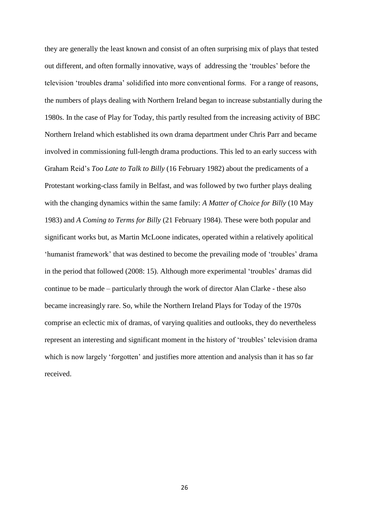they are generally the least known and consist of an often surprising mix of plays that tested out different, and often formally innovative, ways of addressing the 'troubles' before the television 'troubles drama' solidified into more conventional forms. For a range of reasons, the numbers of plays dealing with Northern Ireland began to increase substantially during the 1980s. In the case of Play for Today, this partly resulted from the increasing activity of BBC Northern Ireland which established its own drama department under Chris Parr and became involved in commissioning full-length drama productions. This led to an early success with Graham Reid's *Too Late to Talk to Billy* (16 February 1982) about the predicaments of a Protestant working-class family in Belfast, and was followed by two further plays dealing with the changing dynamics within the same family: *A Matter of Choice for Billy* (10 May 1983) and *A Coming to Terms for Billy* (21 February 1984). These were both popular and significant works but, as Martin McLoone indicates, operated within a relatively apolitical 'humanist framework' that was destined to become the prevailing mode of 'troubles' drama in the period that followed (2008: 15). Although more experimental 'troubles' dramas did continue to be made – particularly through the work of director Alan Clarke - these also became increasingly rare. So, while the Northern Ireland Plays for Today of the 1970s comprise an eclectic mix of dramas, of varying qualities and outlooks, they do nevertheless represent an interesting and significant moment in the history of 'troubles' television drama which is now largely 'forgotten' and justifies more attention and analysis than it has so far received.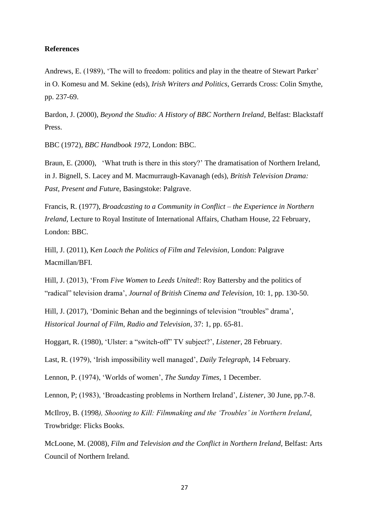### **References**

Andrews, E. (1989), 'The will to freedom: politics and play in the theatre of Stewart Parker' in O. Komesu and M. Sekine (eds), *Irish Writers and Politics*, Gerrards Cross: Colin Smythe, pp. 237-69.

Bardon, J. (2000), *Beyond the Studio: A History of BBC Northern Ireland*, Belfast: Blackstaff Press.

BBC (1972), *BBC Handbook 1972*, London: BBC.

Braun, E. (2000), 'What truth is there in this story?' The dramatisation of Northern Ireland, in J. Bignell, S. Lacey and M. Macmurraugh-Kavanagh (eds), *British Television Drama: Past, Present and Futur*e, Basingstoke: Palgrave.

Francis, R. (1977), *Broadcasting to a Community in Conflict – the Experience in Northern Ireland*, Lecture to Royal Institute of International Affairs, Chatham House, 22 February, London: BBC.

Hill, J. (2011), K*en Loach the Politics of Film and Television*, London: Palgrave Macmillan/BFI.

Hill, J. (2013), 'From *Five Women* to *Leeds United*!: Roy Battersby and the politics of "radical" television drama', *Journal of British Cinema and Television*, 10: 1, pp. 130-50.

Hill, J. (2017), 'Dominic Behan and the beginnings of television "troubles" drama', *Historical Journal of Film, Radio and Television*, 37: 1, pp. 65-81.

Hoggart, R. (1980), 'Ulster: a "switch-off" TV subject?', *Listener*, 28 February.

Last, R. (1979), 'Irish impossibility well managed', *Daily Telegraph*, 14 February.

Lennon, P. (1974), 'Worlds of women', *The Sunday Times*, 1 December.

Lennon, P; (1983), 'Broadcasting problems in Northern Ireland', *Listener*, 30 June, pp.7-8.

McIlroy, B. (1998*), Shooting to Kill: Filmmaking and the 'Troubles' in Northern Ireland*, Trowbridge: Flicks Books.

McLoone, M. (2008), *Film and Television and the Conflict in Northern Ireland*, Belfast: Arts Council of Northern Ireland.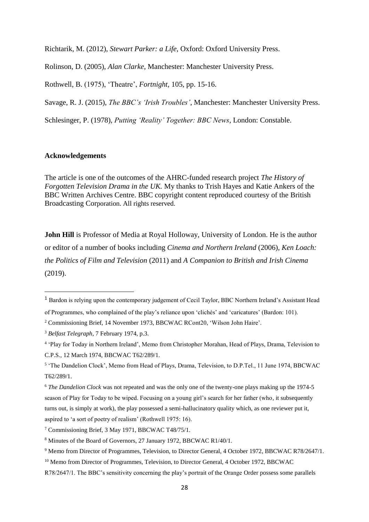Richtarik, M. (2012), *Stewart Parker: a Life*, Oxford: Oxford University Press.

Rolinson, D. (2005), *Alan Clarke*, Manchester: Manchester University Press.

Rothwell, B. (1975), 'Theatre', *Fortnight*, 105, pp. 15-16.

Savage, R. J. (2015), *The BBC's 'Irish Troubles'*, Manchester: Manchester University Press.

Schlesinger, P. (1978), *Putting 'Reality' Together: BBC News*, London: Constable.

# **Acknowledgements**

**.** 

The article is one of the outcomes of the AHRC-funded research project *The History of Forgotten Television Drama in the UK.* My thanks to Trish Hayes and Katie Ankers of the BBC Written Archives Centre. BBC copyright content reproduced courtesy of the British Broadcasting Corporation. All rights reserved.

**John Hill** is Professor of Media at Royal Holloway, University of London. He is the author or editor of a number of books including *Cinema and Northern Ireland* (2006), *Ken Loach: the Politics of Film and Television* (2011) and *A Companion to British and Irish Cinema* (2019).

<sup>1</sup> Bardon is relying upon the contemporary judgement of Cecil Taylor, BBC Northern Ireland's Assistant Head

of Programmes, who complained of the play's reliance upon 'clichés' and 'caricatures' (Bardon: 101).

<sup>2</sup> Commissioning Brief, 14 November 1973, BBCWAC RCont20, 'Wilson John Haire'.

<sup>3</sup> *Belfast Telegraph*, 7 February 1974, p.3.

<sup>4</sup> 'Play for Today in Northern Ireland', Memo from Christopher Morahan, Head of Plays, Drama, Television to C.P.S., 12 March 1974, BBCWAC T62/289/1.

<sup>&</sup>lt;sup>5</sup> 'The Dandelion Clock', Memo from Head of Plays, Drama, Television, to D.P.Tel., 11 June 1974, BBCWAC T62/289/1.

<sup>6</sup> *The Dandelion Clock* was not repeated and was the only one of the twenty-one plays making up the 1974-5 season of Play for Today to be wiped. Focusing on a young girl's search for her father (who, it subsequently turns out, is simply at work), the play possessed a semi-hallucinatory quality which, as one reviewer put it, aspired to 'a sort of poetry of realism' (Rothwell 1975: 16).

<sup>7</sup> Commissioning Brief, 3 May 1971, BBCWAC T48/75/1.

<sup>8</sup> Minutes of the Board of Governors, 27 January 1972, BBCWAC R1/40/1.

<sup>9</sup> Memo from Director of Programmes, Television, to Director General, 4 October 1972, BBCWAC R78/2647/1.

<sup>&</sup>lt;sup>10</sup> Memo from Director of Programmes, Television, to Director General, 4 October 1972, BBCWAC

R78/2647/1. The BBC's sensitivity concerning the play's portrait of the Orange Order possess some parallels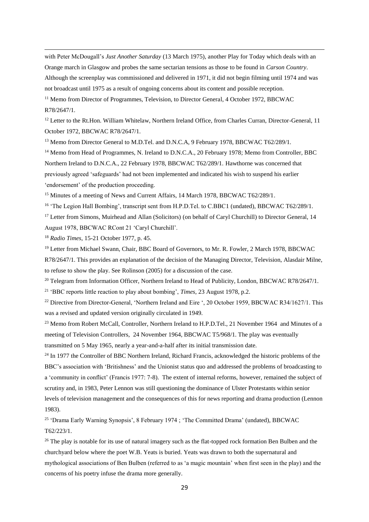with Peter McDougall's *Just Another Saturday* (13 March 1975), another Play for Today which deals with an Orange march in Glasgow and probes the same sectarian tensions as those to be found in *Carson Country*. Although the screenplay was commissioned and delivered in 1971, it did not begin filming until 1974 and was not broadcast until 1975 as a result of ongoing concerns about its content and possible reception. <sup>11</sup> Memo from Director of Programmes, Television, to Director General, 4 October 1972, BBCWAC

R78/2647/1.

1

<sup>12</sup> Letter to the Rt.Hon. William Whitelaw, Northern Ireland Office, from Charles Curran, Director-General, 11 October 1972, BBCWAC R78/2647/1.

<sup>13</sup> Memo from Director General to M.D.Tel. and D.N.C.A, 9 February 1978, BBCWAC T62/289/1.

<sup>14</sup> Memo from Head of Programmes, N. Ireland to D.N.C.A., 20 February 1978; Memo from Controller, BBC Northern Ireland to D.N.C.A., 22 February 1978, BBCWAC T62/289/1. Hawthorne was concerned that previously agreed 'safeguards' had not been implemented and indicated his wish to suspend his earlier 'endorsement' of the production proceeding.

<sup>15</sup> Minutes of a meeting of News and Current Affairs, 14 March 1978, BBCWAC T62/289/1.

<sup>16</sup> 'The Legion Hall Bombing', transcript sent from H.P.D.Tel. to C.BBC1 (undated), BBCWAC T62/289/1.

<sup>17</sup> Letter from Simons, Muirhead and Allan (Solicitors) (on behalf of Caryl Churchill) to Director General, 14 August 1978, BBCWAC RCont 21 'Caryl Churchill'.

<sup>18</sup> *Radio Times*, 15-21 October 1977, p. 45.

<sup>19</sup> Letter from Michael Swann, Chair, BBC Board of Governors, to Mr. R. Fowler, 2 March 1978, BBCWAC R78/2647/1. This provides an explanation of the decision of the Managing Director, Television, Alasdair Milne, to refuse to show the play. See Rolinson (2005) for a discussion of the case.

<sup>20</sup> Telegram from Information Officer, Northern Ireland to Head of Publicity, London, BBCWAC R78/2647/1.

<sup>21</sup> 'BBC reports little reaction to play about bombing', *Times*, 23 August 1978, p.2.

<sup>22</sup> Directive from Director-General, 'Northern Ireland and Eire ', 20 October 1959, BBCWAC R34/1627/1. This was a revised and updated version originally circulated in 1949.

<sup>23</sup> Memo from Robert McCall, Controller, Northern Ireland to H.P.D.Tel., 21 November 1964 and Minutes of a meeting of Television Controllers, 24 November 1964, BBCWAC T5/968/1. The play was eventually transmitted on 5 May 1965, nearly a year-and-a-half after its initial transmission date.

<sup>24</sup> In 1977 the Controller of BBC Northern Ireland, Richard Francis, acknowledged the historic problems of the BBC's association with 'Britishness' and the Unionist status quo and addressed the problems of broadcasting to a 'community in conflict' (Francis 1977: 7-8). The extent of internal reforms, however, remained the subject of scrutiny and, in 1983, Peter Lennon was still questioning the dominance of Ulster Protestants within senior levels of television management and the consequences of this for news reporting and drama production (Lennon 1983).

<sup>25</sup> 'Drama Early Warning Synopsis', 8 February 1974 ; 'The Committed Drama' (undated), BBCWAC T62/223/1.

<sup>26</sup> The play is notable for its use of natural imagery such as the flat-topped rock formation Ben Bulben and the churchyard below where the poet W.B. Yeats is buried. Yeats was drawn to both the supernatural and mythological associations of Ben Bulben (referred to as 'a magic mountain' when first seen in the play) and the concerns of his poetry infuse the drama more generally.